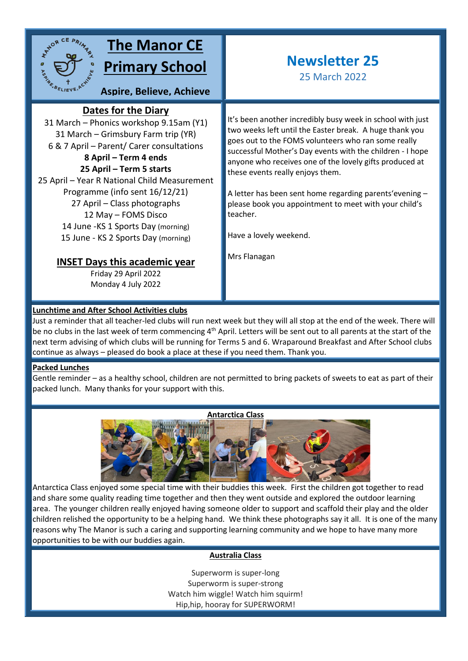

# **The Manor CE Primary School**

**Aspire, Believe, Achieve**

### **Dates for the Diary**

31 March – Phonics workshop 9.15am (Y1) **sky**31 March – Grimsbury Farm trip (YR) 6 & 7 April – Parent/ Carer consultations

**8 April – Term 4 ends 25 April – Term 5 starts** 25 April – Year R National Child Measurement Programme (info sent 16/12/21) 27 April – Class photographs 12 May – FOMS Disco 14 June -KS 1 Sports Day (morning) 15 June - KS 2 Sports Day (morning)

### **INSET Days this academic year**

Friday 29 April 2022 Monday 4 July 2022

## **Newsletter 25**

25 March 2022

It's been another incredibly busy week in school with just two weeks left until the Easter break. A huge thank you goes out to the FOMS volunteers who ran some really successful Mother's Day events with the children - I hope anyone who receives one of the lovely gifts produced at these events really enjoys them.

A letter has been sent home regarding parents'evening – please book you appointment to meet with your child's teacher.

Have a lovely weekend.

Mrs Flanagan

#### **Lunchtime and After School Activities clubs**

Just a reminder that all teacher-led clubs will run next week but they will all stop at the end of the week. There will be no clubs in the last week of term commencing 4<sup>th</sup> April. Letters will be sent out to all parents at the start of the next term advising of which clubs will be running for Terms 5 and 6. Wraparound Breakfast and After School clubs continue as always – pleased do book a place at these if you need them. Thank you.

#### **Packed Lunches**

Gentle reminder – as a healthy school, children are not permitted to bring packets of sweets to eat as part of their packed lunch. Many thanks for your support with this.



Antarctica Class enjoyed some special time with their buddies this week. First the children got together to read and share some quality reading time together and then they went outside and explored the outdoor learning area. The younger children really enjoyed having someone older to support and scaffold their play and the older children relished the opportunity to be a helping hand. We think these photographs say it all. It is one of the many reasons why The Manor is such a caring and supporting learning community and we hope to have many more opportunities to be with our buddies again.

#### **Australia Class**

Superworm is super-long Superworm is super-strong Watch him wiggle! Watch him squirm! Hip,hip, hooray for SUPERWORM!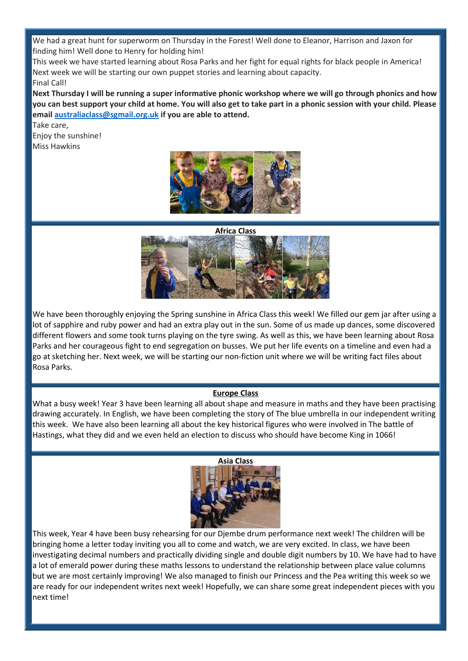We had a great hunt for superworm on Thursday in the Forest! Well done to Eleanor, Harrison and Jaxon for finding him! Well done to Henry for holding him!

This week we have started learning about Rosa Parks and her fight for equal rights for black people in America! Next week we will be starting our own puppet stories and learning about capacity. Final Call!

**Next Thursday I will be running a super informative phonic workshop where we will go through phonics and how you can best support your child at home. You will also get to take part in a phonic session with your child. Please email [australiaclass@sgmail.org.uk](mailto:australiaclass@sgmail.org.uk) if you are able to attend.**

Take care, Enjoy the sunshine! Miss Hawkins



**Africa Class**



We have been thoroughly enjoying the Spring sunshine in Africa Class this week! We filled our gem jar after using a lot of sapphire and ruby power and had an extra play out in the sun. Some of us made up dances, some discovered different flowers and some took turns playing on the tyre swing. As well as this, we have been learning about Rosa Parks and her courageous fight to end segregation on busses. We put her life events on a timeline and even had a go at sketching her. Next week, we will be starting our non-fiction unit where we will be writing fact files about Rosa Parks.

#### **Europe Class**

What a busy week! Year 3 have been learning all about shape and measure in maths and they have been practising drawing accurately. In English, we have been completing the story of The blue umbrella in our independent writing this week. We have also been learning all about the key historical figures who were involved in The battle of Hastings, what they did and we even held an election to discuss who should have become King in 1066!



This week, Year 4 have been busy rehearsing for our Djembe drum performance next week! The children will be bringing home a letter today inviting you all to come and watch, we are very excited. In class, we have been investigating decimal numbers and practically dividing single and double digit numbers by 10. We have had to have a lot of emerald power during these maths lessons to understand the relationship between place value columns but we are most certainly improving! We also managed to finish our Princess and the Pea writing this week so we are ready for our independent writes next week! Hopefully, we can share some great independent pieces with you next time!